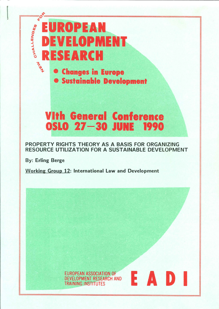# $\bar{z}^{\dot{\mathcal{O}}}$ UROPEAN CHALLENGES  $\mathbf{I}$ EVELOPMENT ESEARCH **THAT**

**• Changes in Europe** 

**• Sustainable Development** 

# **Vith General Conference** OSLO 27-30 JUNE 1990

# PROPERTY RIGHTS THEORY AS A BASIS FOR ORGANIZING RESOURCE UTILIZATION FOR A SUSTAINABLE DEVELOPMENT

**By: Erling Berge** 

**Working Group 12: International Law and Development** 

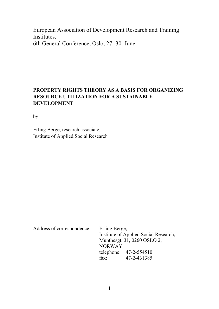European Association of Development Research and Training Institutes, 6th General Conference, Oslo, 27.-30. June

### **PROPERTY RIGHTS THEORY AS A BASIS FOR ORGANIZING RESOURCE UTILIZATION FOR A SUSTAINABLE DEVELOPMENT**

by

Erling Berge, research associate, Institute of Applied Social Research

Address of correspondence: Erling Berge, Institute of Applied Social Research, Munthesgt. 31, 0260 OSLO 2, NORWAY telephone: 47-2-554510 fax: 47-2-431385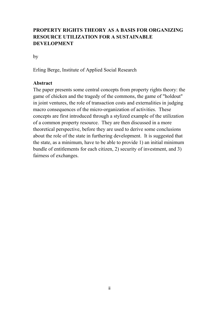# **PROPERTY RIGHTS THEORY AS A BASIS FOR ORGANIZING RESOURCE UTILIZATION FOR A SUSTAINABLE DEVELOPMENT**

by

Erling Berge, Institute of Applied Social Research

#### **Abstract**

The paper presents some central concepts from property rights theory: the game of chicken and the tragedy of the commons, the game of "holdout" in joint ventures, the role of transaction costs and externalities in judging macro consequences of the micro-organization of activities. These concepts are first introduced through a stylized example of the utilization of a common property resource. They are then discussed in a more theoretical perspective, before they are used to derive some conclusions about the role of the state in furthering development. It is suggested that the state, as a minimum, have to be able to provide 1) an initial minimum bundle of entitlements for each citizen, 2) security of investment, and 3) fairness of exchanges.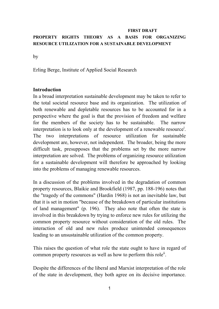### **FIRST DRAFT PROPERTY RIGHTS THEORY AS A BASIS FOR ORGANIZING RESOURCE UTILIZATION FOR A SUSTAINABLE DEVELOPMENT**

by

Erling Berge, Institute of Applied Social Research

#### **Introduction**

In a broad interpretation sustainable development may be taken to refer to the total societal resource base and its organization. The utilization of both renewable and depletable resources has to be accounted for in a perspective where the goal is that the provision of freedom and welfare for the members of the society has to be sustainable. The narrow interpretation is to look only at the development of a renewable resource<sup>i</sup>. The two interpretations of resource utilization for sustainable development are, however, not independent. The broader, being the more difficult task, presupposes that the problems set by the more narrow interpretation are solved. The problems of organizing resource utilization for a sustainable development will therefore be approached by looking into the problems of managing renewable resources.

In a discussion of the problems involved in the degradation of common property resources, Blaikie and Brookfield (1987, pp. 188-196) notes that the "tragedy of the commons" (Hardin 1968) is not an inevitable law, but that it is set in motion "because of the breakdown of particular institutions of land management" (p. 196). They also note that often the state is involved in this breakdown by trying to enforce new rules for utilizing the common property resource without consideration of the old rules. The interaction of old and new rules produce unintended consequences leading to an unsustainable utilization of the common property.

This raises the question of what role the state ought to have in regard of common property resources as well as how to perform this role<sup>ii</sup>.

Despite the differences of the liberal and Marxist interpretation of the role of the state in development, they both agree on its decisive importance.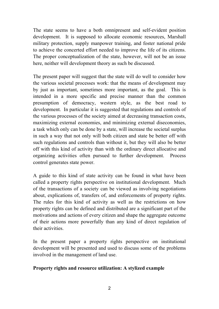The state seems to have a both omnipresent and self-evident position development. It is supposed to allocate economic resources, Marshall military protection, supply manpower training, and foster national pride to achieve the concerted effort needed to improve the life of its citizens. The proper conceptualization of the state, however, will not be an issue here, neither will development theory as such be discussed.

The present paper will suggest that the state will do well to consider how the various societal processes work: that the means of development may by just as important, sometimes more important, as the goal. This is intended in a more specific and precise manner than the common presumption of democracy, western style, as the best road to development. In particular it is suggested that regulations and controls of the various processes of the society aimed at decreasing transaction costs, maximizing external economies, and minimizing external diseconomies, a task which only can be done by a state, will increase the societal surplus in such a way that not only will both citizen and state be better off with such regulations and controls than without it, but they will also be better off with this kind of activity than with the ordinary direct allocative and organizing activities often pursued to further development. Process control generates state power.

A guide to this kind of state activity can be found in what have been called a property rights perspective on institutional development. Much of the transactions of a society can be viewed as involving negotiations about, explications of, transfers of, and enforcements of property rights. The rules for this kind of activity as well as the restrictions on how property rights can be defined and distributed are a significant part of the motivations and actions of every citizen and shape the aggregate outcome of their actions more powerfully than any kind of direct regulation of their activities.

In the present paper a property rights perspective on institutional development will be presented and used to discuss some of the problems involved in the management of land use.

#### **Property rights and resource utilization: A stylized example**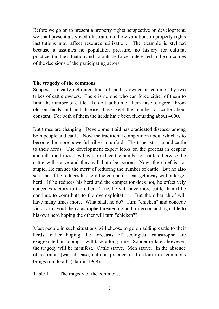Before we go on to present a property rights perspective on development, we shall present a stylized illustration of how variations in property rights institutions may affect resource utilization. The example is stylized because it assumes no population pressure, no history (or cultural practices) in the situation and no outside forces interested in the outcomes of the decisions of the participating actors.

#### **The tragedy of the commons**

Suppose a clearly delimited tract of land is owned in common by two tribes of cattle owners. There is no one who can force either of them to limit the number of cattle. To do that both of them have to agree. From old on feuds and and diseases have kept the number of cattle about constant. For both of them the herds have been fluctuating about 4000.

But times are changing. Development aid has eradicated diseases among both people and cattle. Now the traditional competition about which is to become the more powerful tribe can unfold. The tribes start to add cattle to their herds. The development expert looks on the process in despair and tells the tribes they have to reduce the number of cattle otherwise the cattle will starve and they will both be poorer. Now, the chief is not stupid. He can see the merit of reducing the number of cattle. But he also sees that if he reduces his herd the competitor can get away with a larger herd. If he reduces his herd and the competitor does not, he effectively concedes victory to the other. True, he will have more cattle than if he continue to contribute to the overexploitation. But the other chief will have many times more. What shall he do? Turn "chicken" and concede victory to avoid the catastrophe threatening both or go on adding cattle to his own herd hoping the other will turn "chicken"?

Most people in such situations will choose to go on adding cattle to their herds; either hoping the forecasts of ecological catastrophe are exaggerated or hoping it will take a long time. Sooner or later, however, the tragedy will be manifest. Cattle starve. Men starve. In the absence of restraints (war, disease, cultural practices), "freedom in a commons brings ruin to all" (Hardin 1968).

Table 1 The tragedy of the commons.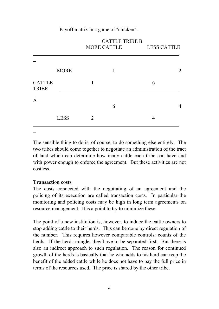#### Payoff matrix in a game of "chicken".

|                               |             | CATTLE INDED<br>MORE CATTLE |   | <b>LESS CATTLE</b> |   |
|-------------------------------|-------------|-----------------------------|---|--------------------|---|
|                               |             |                             |   |                    |   |
|                               | <b>MORE</b> |                             | 1 |                    | 2 |
| <b>CATTLE</b><br><b>TRIBE</b> |             |                             |   | 6                  |   |
| $\overline{A}$                |             |                             | 6 |                    | 4 |
|                               | <b>LESS</b> | 2                           |   | 4                  |   |
|                               |             |                             |   |                    |   |

# $CATTI$  E TDIDE B

The sensible thing to do is, of course, to do something else entirely. The two tribes should come together to negotiate an administration of the tract of land which can determine how many cattle each tribe can have and with power enough to enforce the agreement. But these activities are not costless.

#### **Transaction costs**

The costs connected with the negotiating of an agreement and the policing of its execution are called transaction costs. In particular the monitoring and policing costs may be high in long term agreements on resource management. It is a point to try to minimize these.

The point of a new institution is, however, to induce the cattle owners to stop adding cattle to their herds. This can be done by direct regulation of the number. This requires however comparable controls: counts of the herds. If the herds mingle, they have to be separated first. But there is also an indirect approach to such regulation. The reason for continued growth of the herds is basically that he who adds to his herd can reap the benefit of the added cattle while he does not have to pay the full price in terms of the resources used. The price is shared by the other tribe.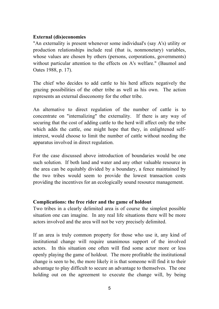#### **External (dis)economies**

"An externality is present whenever some individual's (say A's) utility or production relationships include real (that is, nonmonetary) variables, whose values are chosen by others (persons, corporations, governments) without particular attention to the effects on A's welfare." (Baumol and Oates 1988, p. 17).

The chief who decides to add cattle to his herd affects negatively the grazing possibilities of the other tribe as well as his own. The action represents an external diseconomy for the other tribe.

An alternative to direct regulation of the number of cattle is to concentrate on "internalizing" the externality. If there is any way of securing that the cost of adding cattle to the herd will affect only the tribe which adds the cattle, one might hope that they, in enlightened selfinterest, would choose to limit the number of cattle without needing the apparatus involved in direct regulation.

For the case discussed above introduction of boundaries would be one such solution. If both land and water and any other valuable resource in the area can be equitably divided by a boundary, a fence maintained by the two tribes would seem to provide the lowest transaction costs providing the incentives for an ecologically sound resource management.

### **Complications: the free rider and the game of holdout**

Two tribes in a clearly delimited area is of course the simplest possible situation one can imagine. In any real life situations there will be more actors involved and the area will not be very precisely delimited.

If an area is truly common property for those who use it, any kind of institutional change will require unanimous support of the involved actors. In this situation one often will find some actor more or less openly playing the game of holdout. The more profitable the institutional change is seen to be, the more likely it is that someone will find it to their advantage to play difficult to secure an advantage to themselves. The one holding out on the agreement to execute the change will, by being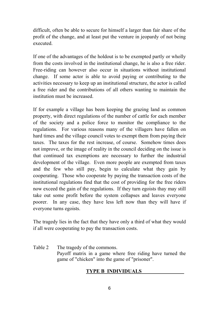difficult, often be able to secure for himself a larger than fair share of the profit of the change, and at least put the venture in jeopardy of not being executed.

If one of the advantages of the holdout is to be exempted partly or wholly from the costs involved in the institutional change, he is also a free rider. Free-riding can however also occur in situations without institutional change. If some actor is able to avoid paying or contributing to the activities necessary to keep up an institutional structure, the actor is called a free rider and the contributions of all others wanting to maintain the institution must be increased.

If for example a village has been keeping the grazing land as common property, with direct regulations of the number of cattle for each member of the society and a police force to monitor the compliance to the regulations. For various reasons many of the villagers have fallen on hard times and the village council votes to exempt them from paying their taxes. The taxes for the rest increase, of course. Somehow times does not improve, or the image of reality in the council deciding on the issue is that continued tax exemptions are necessary to further the industrial development of the village. Even more people are exempted from taxes and the few who still pay, begin to calculate what they gain by cooperating. Those who cooperate by paying the transaction costs of the institutional regulations find that the cost of providing for the free riders now exceed the gain of the regulations. If they turn egoists thay may still take out some profit before the system collapses and leaves everyone poorer. In any case, they have less left now than they will have if everyone turns egoists.

The tragedy lies in the fact that they have only a third of what they would if all were cooperating to pay the transaction costs.

Table 2 The tragedy of the commons. Payoff matrix in a game where free riding have turned the game of "chicken" into the game of "prisoner".

### **TYPE B INDIVIDUALS**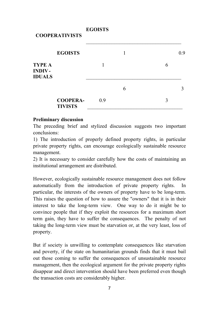**EGOISTS** 

#### **COOPERATIVISTS**

|                                                 | <b>EGOISTS</b>                    |     |   |   | 0.9 |
|-------------------------------------------------|-----------------------------------|-----|---|---|-----|
| <b>TYPE A</b><br><b>INDIV-</b><br><b>IDUALS</b> |                                   |     |   |   |     |
|                                                 |                                   |     | 6 |   |     |
|                                                 | <b>COOPERA-</b><br><b>TIVISTS</b> | 0.9 |   | 3 |     |

 $\mathcal{L}_\mathcal{L} = \mathcal{L}_\mathcal{L} = \mathcal{L}_\mathcal{L} = \mathcal{L}_\mathcal{L} = \mathcal{L}_\mathcal{L} = \mathcal{L}_\mathcal{L} = \mathcal{L}_\mathcal{L} = \mathcal{L}_\mathcal{L} = \mathcal{L}_\mathcal{L} = \mathcal{L}_\mathcal{L} = \mathcal{L}_\mathcal{L} = \mathcal{L}_\mathcal{L} = \mathcal{L}_\mathcal{L} = \mathcal{L}_\mathcal{L} = \mathcal{L}_\mathcal{L} = \mathcal{L}_\mathcal{L} = \mathcal{L}_\mathcal{L}$ 

#### **Preliminary discussion**

The preceding brief and stylized discussion suggests two important conclusions:

1) The introduction of properly defined property rights, in particular private property rights, can encourage ecologically sustainable resource management.

2) It is necessary to consider carefully how the costs of maintaining an institutional arrangement are distributed.

However, ecologically sustainable resource management does not follow automatically from the introduction of private property rights. particular, the interests of the owners of property have to be long-term. This raises the question of how to assure the "owners" that it is in their interest to take the long-term view. One way to do it might be to convince people that if they exploit the resources for a maximum short term gain, they have to suffer the consequences. The penalty of not taking the long-term view must be starvation or, at the very least, loss of property.

But if society is unwilling to contemplate consequences like starvation and poverty, if the state on humanitarian grounds finds that it must bail out those coming to suffer the consequences of unsustainable resource management, then the ecological argument for the private property rights disappear and direct intervention should have been preferred even though the transaction costs are considerably higher.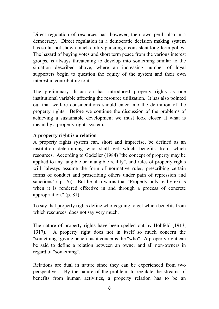Direct regulation of resources has, however, their own peril, also in a democracy. Direct regulation in a democratic decision making system has so far not shown much ability pursuing a consistent long-term policy. The hazard of buying votes and short term peace from the various interest groups, is always threatening to develop into something similar to the situation described above, where an increasing number of loyal supporters begin to question the equity of the system and their own interest in contributing to it.

The preliminary discussion has introduced property rights as one institutional variable affecting the resource utilization. It has also pointed out that welfare considerations should enter into the definition of the property rights. Before we continue the discussion of the problems of achieving a sustainable development we must look closer at what is meant by a property rights system.

### **A property right is a relation**

A property rights system can, short and imprecise, be defined as an institution determining who shall get which benefits from which resources. According to Godelier (1984) "the concept of property may be applied to any tangible or intangible reality", and rules of property rights will "always assume the form of normative rules, prescribing certain forms of conduct and proscribing others under pain of repression and sanctions" ( p. 76). But he also warns that "Property only really exists when it is rendered effective in and through a process of concrete appropriation." (p. 81).

To say that property rights define who is going to get which benefits from which resources, does not say very much.

The nature of property rights have been spelled out by Hohfeld (1913, 1917). A property right does not in itself so much concern the "something" giving benefit as it concerns the "who". A property right can be said to define a relation between an owner and all non-owners in regard of "something".

Relations are dual in nature since they can be experienced from two perspectives. By the nature of the problem, to regulate the streams of benefits from human activities, a property relation has to be an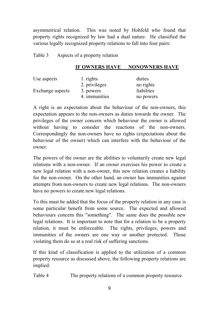asymmetrical relation. This was noted by Hohfeld who found that property rights recognized by law had a dual nature. He classified the various legally recognized property relations to fall into four pairs:

Table 3 Aspects of a property relation

#### **IF OWNERS HAVE NONOWNERS HAVE**

| Use aspects      | 1. rights     | duties     |  |
|------------------|---------------|------------|--|
|                  | 2. privileges | no rights  |  |
| Exchange aspects | 3. powers     | liabilites |  |
|                  | 4. immunities | no powers  |  |

A right is an expectation about the behaviour of the non-owners, this expectation appears to the non-owners as duties towards the owner. The privileges of the owner concern which behaviour the owner is allowed without having to consider the reactions of the non-owners. Correspondingly the non-owners have no rights (expectations about the behaviour of the owner) which can interfere with the behaviour of the owner.

The powers of the owner are the abilities to voluntarily create new legal relations with a non-owner. If an owner exercises his power to create a new legal relation with a non-owner, this new relation creates a liability for the non-owner. On the other hand, an owner has immunities against attempts from non-owners to create new legal relations. The non-owners have no powers to create new legal relations.

To this must be added that the focus of the property relation in any case is some particular benefit from some source. The expected and allowed behaviours concern this "something". The same does the possible new legal relations. It is important to note that for a relation to be a property relation, it must be enforceable. The rights, privileges, powers and immunities of the owners are one way or another protected. Those violating them do so at a real risk of suffering sanctions.

If this kind of classification is applied to the utilization of a common property resource as discussed above, the following property relations are implied:

Table 4 The property relations of a common property resource.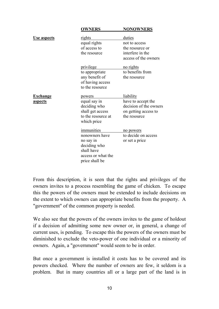|                    | <b>OWNERS</b>      | <b>NONOWNERS</b>       |
|--------------------|--------------------|------------------------|
|                    |                    |                        |
| <u>Use aspects</u> | <u>rights</u>      | duties                 |
|                    | equal rights       | not to access          |
|                    | of access to       | the resource or        |
|                    | the resource       | interfere in the       |
|                    |                    | access of the owners   |
|                    | <u>privilege</u>   | <u>no rights</u>       |
|                    | to appropriate     | to benefits from       |
|                    | any benefit of     | the resource           |
|                    | of having access   |                        |
|                    | to the resource    |                        |
| <u>Exchange</u>    | powers             | <u>liability</u>       |
| <u>aspects</u>     | equal say in       | have to accept the     |
|                    | deciding who       | decision of the owners |
|                    | shall get access   | on getting access to   |
|                    | to the resource at | the resource           |
|                    | which price        |                        |
|                    | immunities         | no powers              |
|                    | nonowners have     | to decide on access    |
|                    | no say in          | or set a price         |
|                    | deciding who       |                        |
|                    | shall have         |                        |
|                    | access or what the |                        |
|                    | price shall be     |                        |
|                    |                    |                        |

From this description, it is seen that the rights and privileges of the owners invites to a process resembling the game of chicken. To escape this the powers of the owners must be extended to include decisions on the extent to which owners can appropriate benefits from the property. A "government" of the common property is needed.

We also see that the powers of the owners invites to the game of holdout if a decision of admitting some new owner or, in general, a change of current uses, is pending. To escape this the powers of the owners must be diminished to exclude the veto-power of one individual or a minority of owners. Again, a "government" would seem to be in order.

But once a government is installed it costs has to be covered and its powers checked. Where the number of owners are few, it seldom is a problem. But in many countries all or a large part of the land is in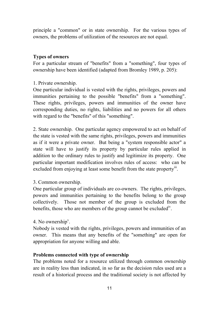principle a "common" or in state ownership. For the various types of owners, the problems of utilization of the resources are not equal.

#### **Types of owners**

For a particular stream of "benefits" from a "something", four types of ownership have been identified (adapted from Bromley 1989, p. 205):

1. Private ownership.

One particular individual is vested with the rights, privileges, powers and immunities pertaining to the possible "benefits" from a "something". These rights, privileges, powers and immunities of the owner have corresponding duties, no rights, liabilities and no powers for all others with regard to the "benefits" of this "something".

2. State ownership. One particular agency empowered to act on behalf of the state is vested with the same rights, privileges, powers and immunities as if it were a private owner. But being a "system responsible actor" a state will have to justify its property by particular rules applied in addition to the ordinary rules to justify and legitimize its property. One particular important modification involves rules of access: who can be excluded from enjoying at least some benefit from the state property<sup>iii</sup>.

### 3. Common ownership.

One particular group of individuals are co-owners. The rights, privileges, powers and immunities pertaining to the benefits belong to the group collectively. Those not member of the group is excluded from the benefits, those who are members of the group cannot be excluded<sup>iv</sup>.

### 4. No ownership<sup> $v$ </sup>.

Nobody is vested with the rights, privileges, powers and immunities of an owner. This means that any benefits of the "something" are open for appropriation for anyone willing and able.

### **Problems connected with type of ownership**

The problems noted for a resource utilized through common ownership are in reality less than indicated, in so far as the decision rules used are a result of a historical process and the traditional society is not affected by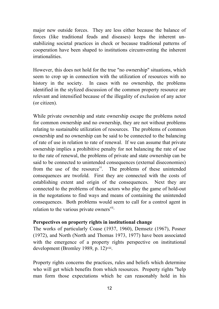major new outside forces. They are less either because the balance of forces (like traditional feuds and diseases) keeps the inherent unstabilizing societal practices in check or because traditional patterns of cooperation have been shaped to institutions circumventing the inherent irrationalities.

However, this does not hold for the true "no ownership" situations, which seem to crop up in connection with the utilization of resources with no history in the society. In cases with no ownership, the problems identified in the stylized discussion of the common property resource are relevant and intensified because of the illegality of exclusion of any actor (or citizen).

While private ownership and state ownership escape the problems noted for common ownership and no ownership, they are not without problems relating to sustainable utilization of resources. The problems of common ownership and no ownership can be said to be connected to the balancing of rate of use in relation to rate of renewal. If we can assume that private ownership implies a prohibitive penalty for not balancing the rate of use to the rate of renewal, the problems of private and state ownership can be said to be connected to unintended consequences (external diseconomies) from the use of the resource<sup>vi</sup>. The problems of these unintended consequences are twofold. First they are connected with the costs of establishing extent and origin of the consequences. Next they are connected to the problems of those actors who play the game of hold-out in the negotations to find ways and means of containing the unintended consequences. Both problems would seem to call for a control agent in relation to the various private owners<sup>vii.</sup>

#### **Perspectives on property rights in institutional change**

The works of particularly Coase (1937, 1960), Demsetz (1967), Posner (1972), and North (North and Thomas 1973, 1977) have been associated with the emergence of a property rights perspective on institutional development (Bromley 1989, p. 12)viii.

Property rights concerns the practices, rules and beliefs which determine who will get which benefits from which resources. Property rights "help man form those expectations which he can reasonably hold in his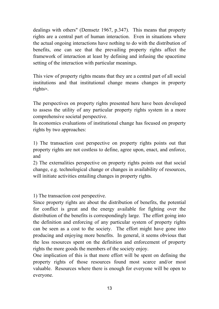dealings with others" (Demsetz 1967, p.347). This means that property rights are a central part of human interaction. Even in situations where the actual ongoing interactions have nothing to do with the distribution of benefits, one can see that the prevailing property rights affect the framework of interaction at least by defining and infusing the spacetime setting of the interaction with particular meanings.

This view of property rights means that they are a central part of all social institutions and that institutional change means changes in property rightsix.

The perspectives on property rights presented here have been developed to assess the utility of any particular property rights system in a more comprehensive societal perspective.

In economics evaluations of institutional change has focused on property rights by two approaches:

1) The transaction cost perspective on property rights points out that property rights are not costless to define, agree upon, enact, and enforce, and

2) The externalities perspective on property rights points out that social change, e.g. technological change or changes in availability of resources, will initiate activities entailing changes in property rights.

1) The transaction cost perspective.

Since property rights are about the distribution of benefits, the potential for conflict is great and the energy available for fighting over the distribution of the benefits is correspondingly large. The effort going into the definition and enforcing of any particular system of property rights can be seen as a cost to the society. The effort might have gone into producing and enjoying more benefits. In general, it seems obvious that the less resources spent on the definition and enforcement of property rights the more goods the members of the society enjoy.

One implication of this is that more effort will be spent on defining the property rights of those resources found most scarce and/or most valuable. Resources where there is enough for everyone will be open to everyone.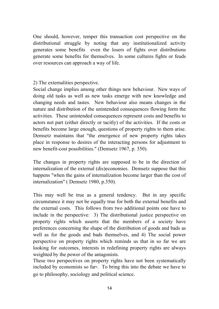One should, however, temper this transaction cost perspective on the distributional struggle by noting that any institutionalized activity generates some benefits even the losers of fights over distributions generate some benefits for themselves. In some cultures fights or feuds over resources can approach a way of life.

2) The externalities perspective.

Social change implies among other things new behaviour. New ways of doing old tasks as well as new tasks emerge with new knowledge and changing needs and tastes. New behaviour also means changes in the nature and distribution of the unintended consequences flowing form the activities. These unintended consequences represent costs and benefits to actors not part (either directly or tacitly) of the activities. If the costs or benefits become large enough, questions of property rights to them arise. Demsetz maintains that "the emergence of new property rights takes place in response to desires of the interacting persons for adjustment to new benefit-cost possibilities." (Demsetz 1967, p. 350).

The changes in property rights are supposed to be in the direction of internalization of the external (dis)economies. Demsetz suppose that this happens "when the gains of internalization become larger than the cost of internalization" ( Demsetz 1980, p.350).

This may well be true as a general tendency. But in any specific circumstance it may not be equally true for both the external benefits and the external costs. This follows from two additional points one have to include in the perspective: 3) The distributional justice perspective on property rights which asserts that the members of a society have preferences concerning the shape of the distribution of goods and bads as well as for the goods and bads themselves, and 4) The social power perspective on property rights which reminds us that in so far we are looking for outcomes, interests in redefining property rights are always weighted by the power of the antagonists.

These two perspectives on property rights have not been systematically included by economists so farx. To bring this into the debate we have to go to philosophy, sociology and political science.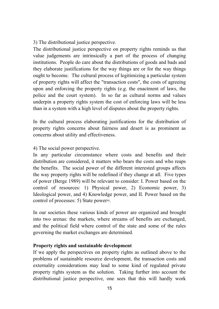3) The distributional justice perspective.

The distributional justice perspective on property rights reminds us that value judgements are intrinsically a part of the process of changing institutions. People do care about the distributions of goods and bads and they elaborate justifications for the way things are or for the way things ought to become. The cultural process of legitimizing a particular system of property rights will affect the "transaction costs", the costs of agreeing upon and enforcing the property rights (e.g. the enactment of laws, the police and the court system). In so far as cultural norms and values underpin a property rights system the cost of enforcing laws will be less than in a system with a high level of disputes about the property rights.

In the cultural process elaborating justifications for the distribution of property rights concerns about fairness and desert is as prominent as concerns about utility and effectiveness.

4) The social power perspective.

In any particular circumstance where costs and benefits and their distribution are considered, it matters who bears the costs and who reaps the benefits. The social power of the different interested groups affects the way property rights will be redefined if they change at all. Five types of power (Berge 1989) will be relevant to consider: I. Power based on the control of resources: 1) Physical power, 2) Economic power, 3) Ideological power, and 4) Knowledge power, and II. Power based on the control of processes: 5) State powerxi.

In our societies these various kinds of power are organized and brought into two arenas: the markets, where streams of benefits are exchanged, and the political field where control of the state and some of the rules governing the market exchanges are determined.

### **Property rights and sustainable development**

If we apply the perspectives on property rights as outlined above to the problems of sustainable resource development, the transaction costs and externality considerations may lead to some kind of regulated private property rights system as the solution. Taking further into account the distributional justice perspective, one sees that this will hardly work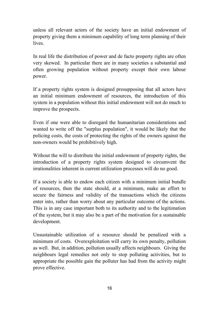unless all relevant actors of the society have an initial endowment of property giving them a minimum capability of long term planning of their lives.

In real life the distribution of power and de facto property rights are often very skewed. In particular there are in many societies a substantial and often growing population without property except their own labour power.

If a property rights system is designed presupposing that all actors have an initial minimum endowment of resources, the introduction of this system in a population without this initial endowment will not do much to improve the prospects.

Even if one were able to disregard the humanitarian considerations and wanted to write off the "surplus population", it would be likely that the policing costs, the costs of protecting the rights of the owners against the non-owners would be prohibitively high.

Without the will to distribute the initial endowment of property rights, the introduction of a property rights system designed to circumvent the irrationalities inherent in current utilization processes will do no good.

If a society is able to endow each citizen with a minimum initial bundle of resources, then the state should, at a minimum, make an effort to secure the fairness and validity of the transactions which the citizens enter into, rather than worry about any particular outcome of the actions. This is in any case important both to its authority and to the legitimation of the system, but it may also be a part of the motivation for a sustainable development.

Unsustainable utilization of a resource should be penalized with a minimum of costs. Overexploitation will carry its own penalty, pollution as well. But, in addition, pollution usually affects neighbours. Giving the neighbours legal remedies not only to stop polluting activities, but to appropriate the possible gain the polluter has had from the activity might prove effective.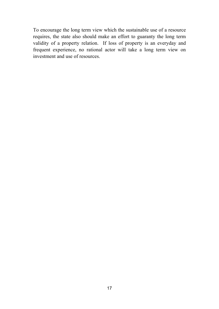To encourage the long term view which the sustainable use of a resource requires, the state also should make an effort to guaranty the long term validity of a property relation. If loss of property is an everyday and frequent experience, no rational actor will take a long term view on investment and use of resources.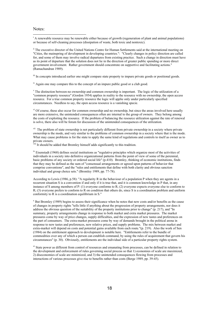#### Notes:

1

<sup>i</sup> A renewable resource may be renewable either because of growth (regeneration of plant and animal populations) or because of self-cleaning processes (dissipation of waste, both toxic and nontoxic).

ii The executive director of the United Nations Centre for Human Settlements said at the international meeting on "Cities, the mainspring of development in developing countries.": "Clearly changes in policy direction are called for, and some of them may involve radical departures from existing practice. Such a change in direction must have as its point of departure that the solution does not lie in the direction of greater public spending or more direct government involvement. Rather government should concentrate on supportive and facilitating actions." (Ramachandran 1989).

iii In concepts introduced earlier one might compare state property to impure private goods or positional goods.

 $\dot{v}$  Again one may compare this to the concept of an impure public good or a club good.

<sup>v</sup> The distinction between no ownership and common ownership is important. The logic of the utilization of a "common property resource" (Gordon 1954) applies in reality to the resource with no ownership, the open access resource. For a true common property resource the logic will applie only under particularly specified circumstances. Needless to say, the open access resource is a vanishing specie.

<sup>vi</sup> Of course, these also occur for common ownership and no ownership, but since the areas involved here usually are more extensive, the unintended consequences often are internal to the group of owners. They belong among the costs of exploiting the resource. If the problem of balancing the resource utilization against the rate of renewal is solve, there also will be forum for discussion of the unintended consequences of the utilization.

<sup>vii</sup> The problem of state ownership is not particularly different from private ownership in a society where private ownership is the mode, and very similar to the problems of common ownership in a society where that is the mode. What may cause problems is for the state to apply the same kind of regulations and controls to itself as owner as to private owners.

 $\frac{\partial u}{\partial t}$  is should be added that Bromley himself adds significantly to this tradition.

ix Eisenstadt (1968) defines social institutions as "regulative principles which organize most of the activities of individuals in a society into definitive organizational patterns from the point of view of some of the perennial, basic problems of any society or ordered social life" (p.410). Bromley, thinking of economic institutions, finds that they may be defined as the sum of "consensual arrangements or agreed upon patterns of behavior that comprise conventions", and the "rules and entitlements that define with both clarity and obvious sanction individual and group choice sets." (Bromley 1989, pp. 77-78).

According to Lewis (1986, p.58): "A regularity R in the behaviour of a population P when they are agents in a recurrent situation S is a convention if and only if it is true that, and it is common knowledge in P that, in any instance of S among members of P: (1) everyone conforms to R; (2) everyone expects everyone else to conform to R; (3) everyone prefers to conform to R on condition that others do, since S is a coordination problem and uniform conformity to R is a coordination equilibrium in S."

 $^x$  But Bromley (1989) begins to assess their significance when he notes that new costs and/or benefits as the cause of changes in property rights "tells little if anything about the progression of property arrangements, nor does it address the obvious question of the suitability of the property institutions prior to change" (p. 217), and "In summary, property arrangements change in response to both market and extra market pressures. The market pressures come by way of price changes, supply difficulties, and the expression of new tastes and preferences on the part of consumers. The extra-market pressures come by way of demands brought in the political arena in response to new tastes and preferences, new relative prices, and supply problems. The mix between market and extra-market will depend on costs and potential gains available from each route."(p. 219). Also the work of Sen (1984) on the entitlement approach to development is notable here. "Entitlements refer to the bundle of commodities over any of which a person can establish command, by using the rules of acquirement that govern his circumstances" (p. 30). Obviously, entitlements are the individual side of a particular property rights system.

xi State power as different from control of resources and emanating from processes, can be defined in relation to the development and enforcement of rules governing social process so that 1) economies of scale are maximized, 2) diseconomies of scale are minimized, and 3) the unintended consequences flowing from processes and interactions of various processes give rise to benefits rather than costs (Berge 1989, pp. 39-45).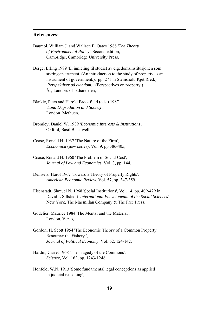#### **References:**

1

- Baumol, William J. and Wallace E. Oates 1988 *'The Theory of Environmental Policy'*, Second edition, Cambridge, Cambridge University Press,
- Berge, Erling 1989 'Ei innleiing til studiet av eigedomsinstitusjonen som styringsinstrument, (An introduction to the study of property as an instrument of government.), pp. 271 in Steinsholt, Kjetil(red.) *'Perspektiver på eiendom.'* (Perspectives on property.) Ås, Landbruksbokhandelen,
- Blaikie, Piers and Harold Brookfield (eds.) 1987 *'Land Degradation and Society'*, London, Methuen,
- Bromley, Daniel W. 1989 *'Economic Interests & Institutions'*, Oxford, Basil Blackwell,
- Coase, Ronald H. 1937 'The Nature of the Firm', *Economica* (new series), Vol. 9, pp.386-405,
- Coase, Ronald H. 1960 'The Problem of Social Cost', *Journal of Law and Economics,* Vol. 3, pp. 144,
- Demsetz, Harol 1967 'Toward a Theory of Property Rights', *American Economic Review*, Vol. 57, pp. 347-359,
- Eisenstadt, Shmuel N. 1968 'Social Institutions', Vol. 14, pp. 409-429 in David L Sills(ed.) *'International Encyclopedia of the Social Sciences'* New York, The Macmillan Company & The Free Press,
- Godelier, Maurice 1984 'The Mental and the Material', London, Verso,
- Gordon, H. Scott 1954 'The Economic Theory of a Common Property Resource: the Fishery.', *Journal of Political Economy*, Vol. 62, 124-142,
- Hardin, Garret 1968 'The Tragedy of the Commons', *Science*, Vol. 162, pp. 1243-1248,
- Hohfeld, W.N. 1913 'Some fundamental legal conceptions as applied in judicial reasoning',